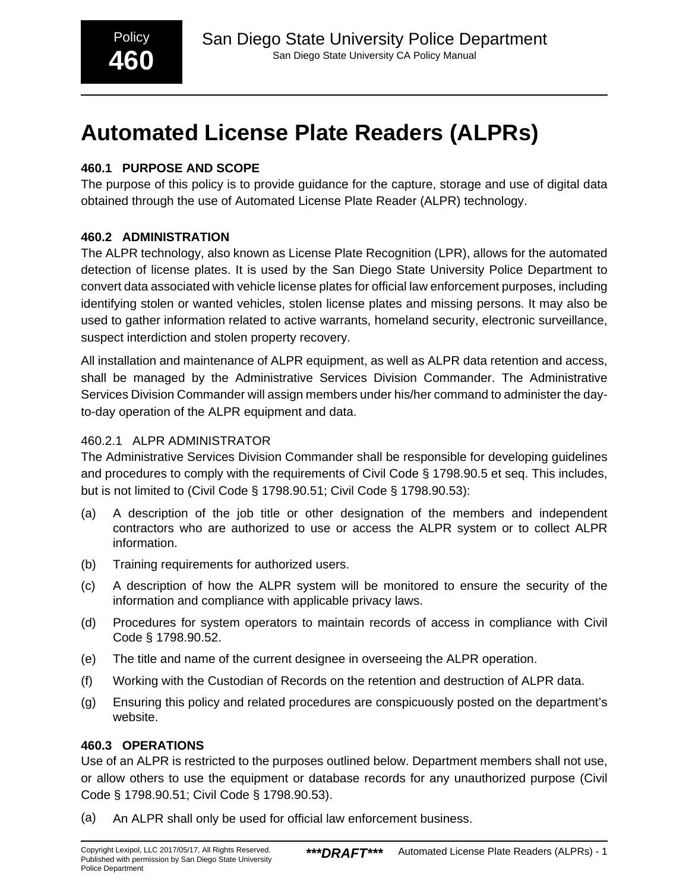# **Automated License Plate Readers (ALPRs)**

# **460.1 PURPOSE AND SCOPE**

The purpose of this policy is to provide guidance for the capture, storage and use of digital data obtained through the use of Automated License Plate Reader (ALPR) technology.

# **460.2 ADMINISTRATION**

The ALPR technology, also known as License Plate Recognition (LPR), allows for the automated detection of license plates. It is used by the San Diego State University Police Department to convert data associated with vehicle license plates for official law enforcement purposes, including identifying stolen or wanted vehicles, stolen license plates and missing persons. It may also be used to gather information related to active warrants, homeland security, electronic surveillance, suspect interdiction and stolen property recovery.

All installation and maintenance of ALPR equipment, as well as ALPR data retention and access, shall be managed by the Administrative Services Division Commander. The Administrative Services Division Commander will assign members under his/her command to administer the dayto-day operation of the ALPR equipment and data.

# 460.2.1 ALPR ADMINISTRATOR

The Administrative Services Division Commander shall be responsible for developing guidelines and procedures to comply with the requirements of Civil Code § 1798.90.5 et seq. This includes, but is not limited to (Civil Code § 1798.90.51; Civil Code § 1798.90.53):

- (a) A description of the job title or other designation of the members and independent contractors who are authorized to use or access the ALPR system or to collect ALPR information.
- (b) Training requirements for authorized users.
- (c) A description of how the ALPR system will be monitored to ensure the security of the information and compliance with applicable privacy laws.
- (d) Procedures for system operators to maintain records of access in compliance with Civil Code § 1798.90.52.
- (e) The title and name of the current designee in overseeing the ALPR operation.
- (f) Working with the Custodian of Records on the retention and destruction of ALPR data.
- (g) Ensuring this policy and related procedures are conspicuously posted on the department's website.

# **460.3 OPERATIONS**

Use of an ALPR is restricted to the purposes outlined below. Department members shall not use, or allow others to use the equipment or database records for any unauthorized purpose (Civil Code § 1798.90.51; Civil Code § 1798.90.53).

(a) An ALPR shall only be used for official law enforcement business.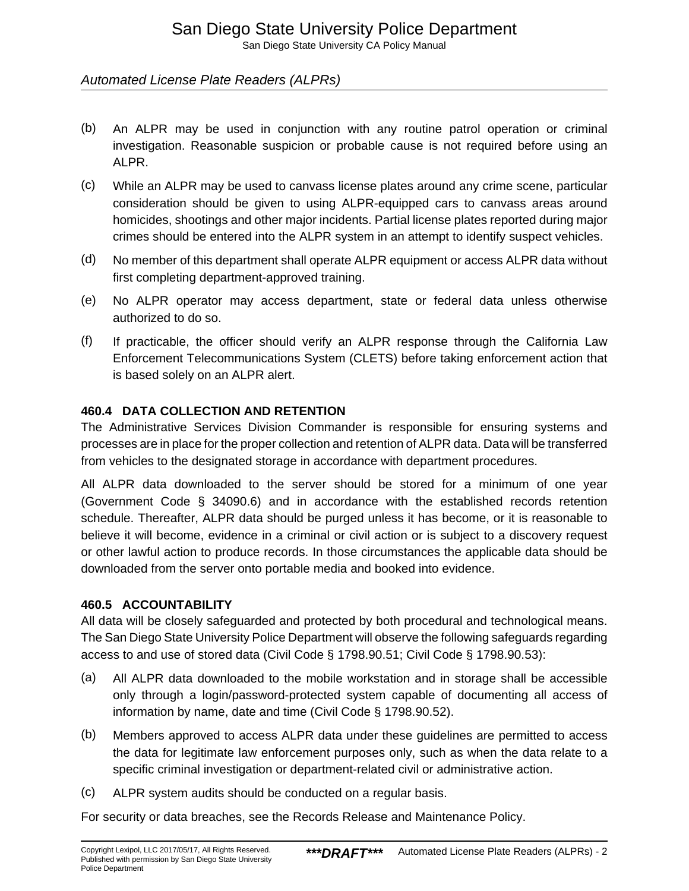San Diego State University CA Policy Manual

# Automated License Plate Readers (ALPRs)

- (b) An ALPR may be used in conjunction with any routine patrol operation or criminal investigation. Reasonable suspicion or probable cause is not required before using an ALPR.
- (c) While an ALPR may be used to canvass license plates around any crime scene, particular consideration should be given to using ALPR-equipped cars to canvass areas around homicides, shootings and other major incidents. Partial license plates reported during major crimes should be entered into the ALPR system in an attempt to identify suspect vehicles.
- (d) No member of this department shall operate ALPR equipment or access ALPR data without first completing department-approved training.
- (e) No ALPR operator may access department, state or federal data unless otherwise authorized to do so.
- (f) If practicable, the officer should verify an ALPR response through the California Law Enforcement Telecommunications System (CLETS) before taking enforcement action that is based solely on an ALPR alert.

### **460.4 DATA COLLECTION AND RETENTION**

The Administrative Services Division Commander is responsible for ensuring systems and processes are in place for the proper collection and retention of ALPR data. Data will be transferred from vehicles to the designated storage in accordance with department procedures.

All ALPR data downloaded to the server should be stored for a minimum of one year (Government Code § 34090.6) and in accordance with the established records retention schedule. Thereafter, ALPR data should be purged unless it has become, or it is reasonable to believe it will become, evidence in a criminal or civil action or is subject to a discovery request or other lawful action to produce records. In those circumstances the applicable data should be downloaded from the server onto portable media and booked into evidence.

#### **460.5 ACCOUNTABILITY**

All data will be closely safeguarded and protected by both procedural and technological means. The San Diego State University Police Department will observe the following safeguards regarding access to and use of stored data (Civil Code § 1798.90.51; Civil Code § 1798.90.53):

- (a) All ALPR data downloaded to the mobile workstation and in storage shall be accessible only through a login/password-protected system capable of documenting all access of information by name, date and time (Civil Code § 1798.90.52).
- (b) Members approved to access ALPR data under these guidelines are permitted to access the data for legitimate law enforcement purposes only, such as when the data relate to a specific criminal investigation or department-related civil or administrative action.
- (c) ALPR system audits should be conducted on a regular basis.

For security or data breaches, see the Records Release and Maintenance Policy.